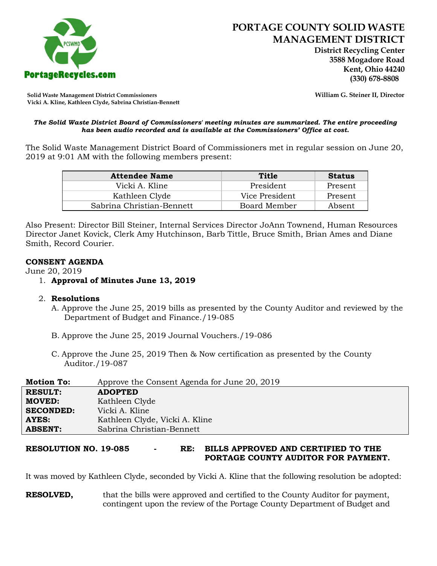

 **District Recycling Center 3588 Mogadore Road Kent, Ohio 44240**

**Solid Waste Management District Commissioners William G. Steiner II, Director Vicki A. Kline, Kathleen Clyde, Sabrina Christian-Bennett** 

#### *The Solid Waste District Board of Commissioners' meeting minutes are summarized. The entire proceeding has been audio recorded and is available at the Commissioners' Office at cost.*

The Solid Waste Management District Board of Commissioners met in regular session on June 20, 2019 at 9:01 AM with the following members present:

| <b>Attendee Name</b>      | Title          | <b>Status</b> |
|---------------------------|----------------|---------------|
| Vicki A. Kline            | President      | Present       |
| Kathleen Clyde            | Vice President | Present       |
| Sabrina Christian-Bennett | Board Member   | Absent        |

Also Present: Director Bill Steiner, Internal Services Director JoAnn Townend, Human Resources Director Janet Kovick, Clerk Amy Hutchinson, Barb Tittle, Bruce Smith, Brian Ames and Diane Smith, Record Courier.

### **CONSENT AGENDA**

June 20, 2019

1. **Approval of Minutes June 13, 2019**

# 2. **Resolutions**

- A. Approve the June 25, 2019 bills as presented by the County Auditor and reviewed by the Department of Budget and Finance./19-085
- B. Approve the June 25, 2019 Journal Vouchers./19-086
- C. Approve the June 25, 2019 Then & Now certification as presented by the County Auditor./19-087

| <b>Motion To:</b> | Approve the Consent Agenda for June 20, 2019 |
|-------------------|----------------------------------------------|
| <b>RESULT:</b>    | <b>ADOPTED</b>                               |
| <b>MOVED:</b>     | Kathleen Clyde                               |
| <b>SECONDED:</b>  | Vicki A. Kline                               |
| <b>AYES:</b>      | Kathleen Clyde, Vicki A. Kline               |
| <b>ABSENT:</b>    | Sabrina Christian-Bennett                    |

**RESOLUTION NO. 19-085 - RE: BILLS APPROVED AND CERTIFIED TO THE PORTAGE COUNTY AUDITOR FOR PAYMENT.** 

It was moved by Kathleen Clyde, seconded by Vicki A. Kline that the following resolution be adopted:

**RESOLVED,** that the bills were approved and certified to the County Auditor for payment, contingent upon the review of the Portage County Department of Budget and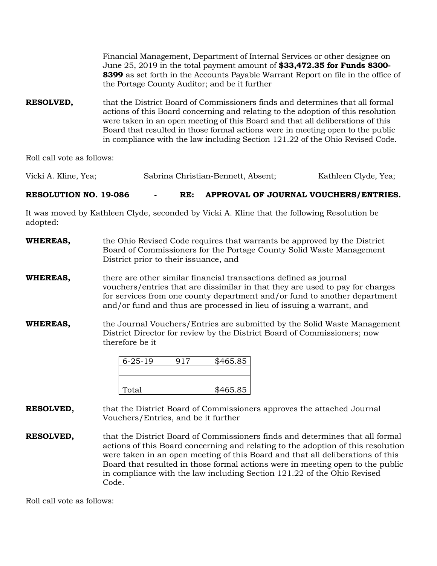Financial Management, Department of Internal Services or other designee on June 25, 2019 in the total payment amount of **\$33,472.35 for Funds 8300- 8399** as set forth in the Accounts Payable Warrant Report on file in the office of the Portage County Auditor; and be it further

**RESOLVED,** that the District Board of Commissioners finds and determines that all formal actions of this Board concerning and relating to the adoption of this resolution were taken in an open meeting of this Board and that all deliberations of this Board that resulted in those formal actions were in meeting open to the public in compliance with the law including Section 121.22 of the Ohio Revised Code.

Roll call vote as follows:

Vicki A. Kline, Yea; Sabrina Christian-Bennett, Absent; Kathleen Clyde, Yea;

**RESOLUTION NO. 19-086 - RE: APPROVAL OF JOURNAL VOUCHERS/ENTRIES.**

It was moved by Kathleen Clyde, seconded by Vicki A. Kline that the following Resolution be adopted:

**WHEREAS,** the Ohio Revised Code requires that warrants be approved by the District Board of Commissioners for the Portage County Solid Waste Management District prior to their issuance, and

**WHEREAS,** there are other similar financial transactions defined as journal vouchers/entries that are dissimilar in that they are used to pay for charges for services from one county department and/or fund to another department and/or fund and thus are processed in lieu of issuing a warrant, and

**WHEREAS,** the Journal Vouchers/Entries are submitted by the Solid Waste Management District Director for review by the District Board of Commissioners; now therefore be it

| $6 - 25 - 19$ | 917 | \$465.85 |
|---------------|-----|----------|
|               |     |          |
|               |     |          |
| Total         |     | \$465.85 |

**RESOLVED,** that the District Board of Commissioners approves the attached Journal Vouchers/Entries, and be it further

**RESOLVED,** that the District Board of Commissioners finds and determines that all formal actions of this Board concerning and relating to the adoption of this resolution were taken in an open meeting of this Board and that all deliberations of this Board that resulted in those formal actions were in meeting open to the public in compliance with the law including Section 121.22 of the Ohio Revised Code.

Roll call vote as follows: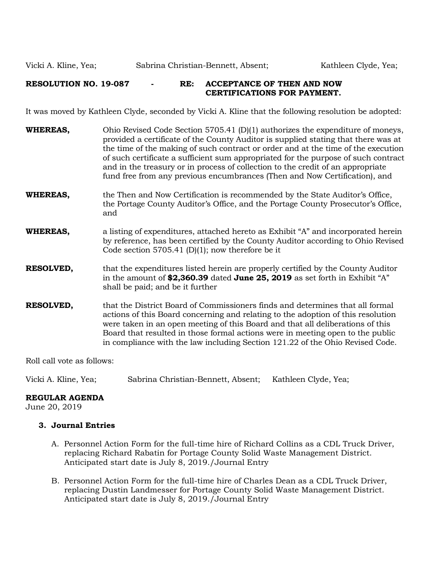# **RESOLUTION NO. 19-087 - RE: ACCEPTANCE OF THEN AND NOW CERTIFICATIONS FOR PAYMENT.**

It was moved by Kathleen Clyde, seconded by Vicki A. Kline that the following resolution be adopted:

| <b>WHEREAS,</b>  | Ohio Revised Code Section 5705.41 (D)(1) authorizes the expenditure of moneys,<br>provided a certificate of the County Auditor is supplied stating that there was at<br>the time of the making of such contract or order and at the time of the execution<br>of such certificate a sufficient sum appropriated for the purpose of such contract<br>and in the treasury or in process of collection to the credit of an appropriate<br>fund free from any previous encumbrances (Then and Now Certification), and |
|------------------|------------------------------------------------------------------------------------------------------------------------------------------------------------------------------------------------------------------------------------------------------------------------------------------------------------------------------------------------------------------------------------------------------------------------------------------------------------------------------------------------------------------|
| WHEREAS,         | the Then and Now Certification is recommended by the State Auditor's Office,<br>the Portage County Auditor's Office, and the Portage County Prosecutor's Office,<br>and                                                                                                                                                                                                                                                                                                                                          |
| WHEREAS,         | a listing of expenditures, attached hereto as Exhibit "A" and incorporated herein<br>by reference, has been certified by the County Auditor according to Ohio Revised<br>Code section 5705.41 (D)(1); now therefore be it                                                                                                                                                                                                                                                                                        |
| RESOLVED,        | that the expenditures listed herein are properly certified by the County Auditor<br>in the amount of \$2,360.39 dated June 25, 2019 as set forth in Exhibit "A"<br>shall be paid; and be it further                                                                                                                                                                                                                                                                                                              |
| <b>RESOLVED,</b> | that the District Board of Commissioners finds and determines that all formal<br>actions of this Board concerning and relating to the adoption of this resolution<br>were taken in an open meeting of this Board and that all deliberations of this<br>Board that resulted in those formal actions were in meeting open to the public<br>in compliance with the law including Section 121.22 of the Ohio Revised Code.                                                                                           |

Roll call vote as follows:

Vicki A. Kline, Yea; Sabrina Christian-Bennett, Absent; Kathleen Clyde, Yea;

### **REGULAR AGENDA**

June 20, 2019

### **3. Journal Entries**

- A. Personnel Action Form for the full-time hire of Richard Collins as a CDL Truck Driver, replacing Richard Rabatin for Portage County Solid Waste Management District. Anticipated start date is July 8, 2019./Journal Entry
- B. Personnel Action Form for the full-time hire of Charles Dean as a CDL Truck Driver, replacing Dustin Landmesser for Portage County Solid Waste Management District. Anticipated start date is July 8, 2019./Journal Entry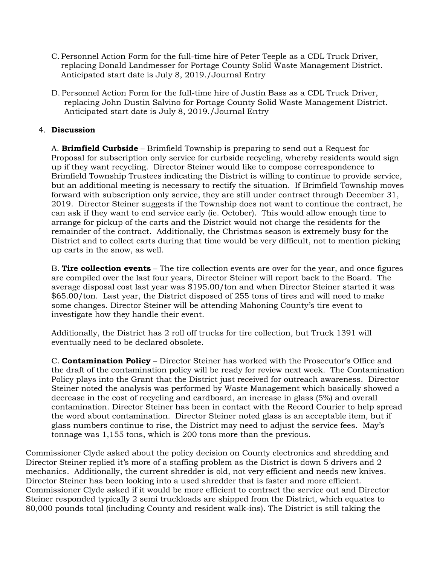- C. Personnel Action Form for the full-time hire of Peter Teeple as a CDL Truck Driver, replacing Donald Landmesser for Portage County Solid Waste Management District. Anticipated start date is July 8, 2019./Journal Entry
- D. Personnel Action Form for the full-time hire of Justin Bass as a CDL Truck Driver, replacing John Dustin Salvino for Portage County Solid Waste Management District. Anticipated start date is July 8, 2019./Journal Entry

# 4. **Discussion**

A. **Brimfield Curbside** – Brimfield Township is preparing to send out a Request for Proposal for subscription only service for curbside recycling, whereby residents would sign up if they want recycling. Director Steiner would like to compose correspondence to Brimfield Township Trustees indicating the District is willing to continue to provide service, but an additional meeting is necessary to rectify the situation. If Brimfield Township moves forward with subscription only service, they are still under contract through December 31, 2019. Director Steiner suggests if the Township does not want to continue the contract, he can ask if they want to end service early (ie. October). This would allow enough time to arrange for pickup of the carts and the District would not charge the residents for the remainder of the contract. Additionally, the Christmas season is extremely busy for the District and to collect carts during that time would be very difficult, not to mention picking up carts in the snow, as well.

B. **Tire collection events** – The tire collection events are over for the year, and once figures are compiled over the last four years, Director Steiner will report back to the Board. The average disposal cost last year was \$195.00/ton and when Director Steiner started it was \$65.00/ton. Last year, the District disposed of 255 tons of tires and will need to make some changes. Director Steiner will be attending Mahoning County's tire event to investigate how they handle their event.

Additionally, the District has 2 roll off trucks for tire collection, but Truck 1391 will eventually need to be declared obsolete.

C. **Contamination Policy** – Director Steiner has worked with the Prosecutor's Office and the draft of the contamination policy will be ready for review next week. The Contamination Policy plays into the Grant that the District just received for outreach awareness. Director Steiner noted the analysis was performed by Waste Management which basically showed a decrease in the cost of recycling and cardboard, an increase in glass (5%) and overall contamination. Director Steiner has been in contact with the Record Courier to help spread the word about contamination. Director Steiner noted glass is an acceptable item, but if glass numbers continue to rise, the District may need to adjust the service fees. May's tonnage was 1,155 tons, which is 200 tons more than the previous.

Commissioner Clyde asked about the policy decision on County electronics and shredding and Director Steiner replied it's more of a staffing problem as the District is down 5 drivers and 2 mechanics. Additionally, the current shredder is old, not very efficient and needs new knives. Director Steiner has been looking into a used shredder that is faster and more efficient. Commissioner Clyde asked if it would be more efficient to contract the service out and Director Steiner responded typically 2 semi truckloads are shipped from the District, which equates to 80,000 pounds total (including County and resident walk-ins). The District is still taking the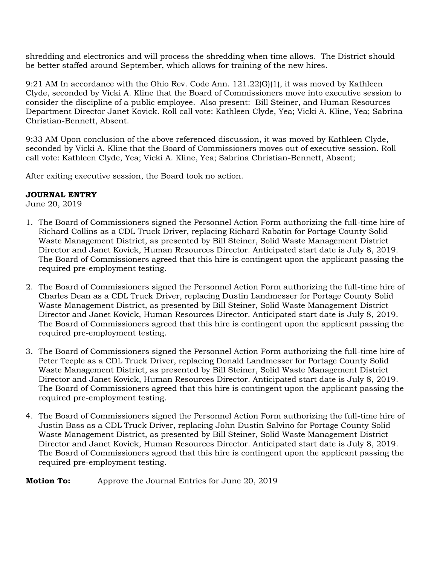shredding and electronics and will process the shredding when time allows. The District should be better staffed around September, which allows for training of the new hires.

9:21 AM In accordance with the Ohio Rev. Code Ann. 121.22(G)(1), it was moved by Kathleen Clyde, seconded by Vicki A. Kline that the Board of Commissioners move into executive session to consider the discipline of a public employee. Also present: Bill Steiner, and Human Resources Department Director Janet Kovick. Roll call vote: Kathleen Clyde, Yea; Vicki A. Kline, Yea; Sabrina Christian-Bennett, Absent.

9:33 AM Upon conclusion of the above referenced discussion, it was moved by Kathleen Clyde, seconded by Vicki A. Kline that the Board of Commissioners moves out of executive session. Roll call vote: Kathleen Clyde, Yea; Vicki A. Kline, Yea; Sabrina Christian-Bennett, Absent;

After exiting executive session, the Board took no action.

# **JOURNAL ENTRY**

June 20, 2019

- 1. The Board of Commissioners signed the Personnel Action Form authorizing the full-time hire of Richard Collins as a CDL Truck Driver, replacing Richard Rabatin for Portage County Solid Waste Management District, as presented by Bill Steiner, Solid Waste Management District Director and Janet Kovick, Human Resources Director. Anticipated start date is July 8, 2019. The Board of Commissioners agreed that this hire is contingent upon the applicant passing the required pre-employment testing.
- 2. The Board of Commissioners signed the Personnel Action Form authorizing the full-time hire of Charles Dean as a CDL Truck Driver, replacing Dustin Landmesser for Portage County Solid Waste Management District, as presented by Bill Steiner, Solid Waste Management District Director and Janet Kovick, Human Resources Director. Anticipated start date is July 8, 2019. The Board of Commissioners agreed that this hire is contingent upon the applicant passing the required pre-employment testing.
- 3. The Board of Commissioners signed the Personnel Action Form authorizing the full-time hire of Peter Teeple as a CDL Truck Driver, replacing Donald Landmesser for Portage County Solid Waste Management District, as presented by Bill Steiner, Solid Waste Management District Director and Janet Kovick, Human Resources Director. Anticipated start date is July 8, 2019. The Board of Commissioners agreed that this hire is contingent upon the applicant passing the required pre-employment testing.
- 4. The Board of Commissioners signed the Personnel Action Form authorizing the full-time hire of Justin Bass as a CDL Truck Driver, replacing John Dustin Salvino for Portage County Solid Waste Management District, as presented by Bill Steiner, Solid Waste Management District Director and Janet Kovick, Human Resources Director. Anticipated start date is July 8, 2019. The Board of Commissioners agreed that this hire is contingent upon the applicant passing the required pre-employment testing.

### **Motion To:** Approve the Journal Entries for June 20, 2019